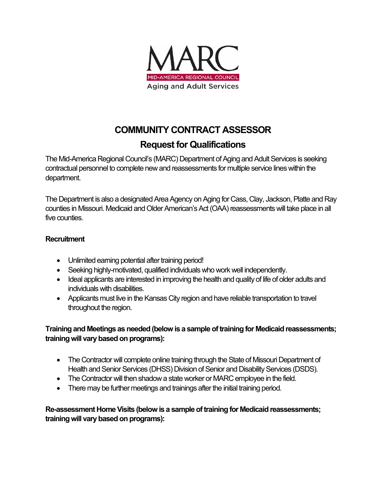

# **COMMUNITY CONTRACT ASSESSOR**

# **Request for Qualifications**

The Mid-America Regional Council's (MARC) Department of Aging and Adult Services is seeking contractual personnel to complete new and reassessments for multiple service lines within the department.

The Department is also a designated Area Agency on Aging for Cass, Clay, Jackson, Platte and Ray counties in Missouri. Medicaid and Older American's Act (OAA) reassessments will take place in all five counties.

### **Recruitment**

- Unlimited earning potential after training period!
- Seeking highly-motivated, qualified individuals who work well independently.
- Ideal applicants are interested in improving the health and quality of life of older adults and individuals with disabilities.
- Applicants must live in the Kansas City region and have reliable transportation to travel throughout the region.

### **Training and Meetings as needed(below is a sample of training for Medicaid reassessments; training will vary based on programs):**

- The Contractor will complete online training through the State of Missouri Department of Health and Senior Services (DHSS) Division of Senior and Disability Services (DSDS).
- The Contractor will then shadow a state worker or MARC employee in the field.
- There may be further meetings and trainings after the initial training period.

**Re-assessment Home Visits (below is a sample of training for Medicaid reassessments; training will vary based on programs):**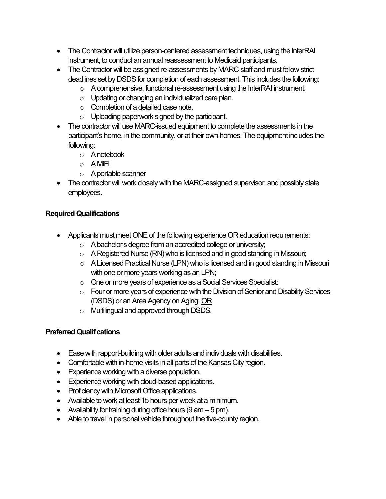- The Contractor will utilize person-centered assessment techniques, using the InterRAI instrument, to conduct an annual reassessment to Medicaid participants.
- The Contractor will be assigned re-assessments by MARC staff and must follow strict deadlines set by DSDS for completion of each assessment. This includes the following:
	- o A comprehensive, functional re-assessment using the InterRAI instrument.
	- o Updating or changing an individualized care plan.
	- o Completion of a detailed case note.
	- o Uploading paperwork signed by the participant.
- The contractor will use MARC-issued equipment to complete the assessments in the participant's home, in the community, or at their own homes. The equipment includes the following:
	- o A notebook
	- o A MiFi
	- o A portable scanner
- The contractor will work closely with the MARC-assigned supervisor, and possibly state employees.

### **Required Qualifications**

- Applicants must meet ONE of the following experience OR education requirements:
	- o A bachelor's degree from an accredited college or university;
	- o A Registered Nurse (RN) who is licensed and in good standing in Missouri;
	- o A Licensed Practical Nurse (LPN) who is licensed and in good standing in Missouri with one or more years working as an LPN;
	- o One or more years of experience as a Social Services Specialist:
	- o Four or more years of experience with the Division of Senior and Disability Services (DSDS) or an Area Agency on Aging; OR
	- o Multilingual and approved through DSDS.

### **Preferred Qualifications**

- Ease with rapport-building with older adults and individuals with disabilities.
- Comfortable with in-home visits in all parts of the Kansas City region.
- Experience working with a diverse population.
- Experience working with cloud-based applications.
- Proficiency with Microsoft Office applications.
- Available to work at least 15 hours per week at a minimum.
- Availability for training during office hours  $(9 \text{ am} 5 \text{ pm})$ .
- Able to travel in personal vehicle throughout the five-county region.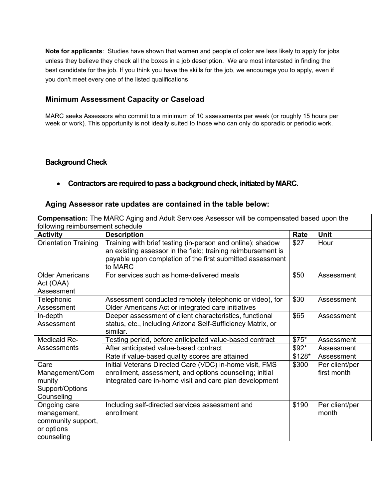**Note for applicants**: Studies have shown that women and people of color are less likely to apply for jobs unless they believe they check all the boxes in a job description. We are most interested in finding the best candidate for the job. If you think you have the skills for the job, we encourage you to apply, even if you don't meet every one of the listed qualifications

#### **Minimum Assessment Capacity or Caseload**

MARC seeks Assessors who commit to a minimum of 10 assessments per week (or roughly 15 hours per week or work). This opportunity is not ideally suited to those who can only do sporadic or periodic work.

#### **Background Check**

#### • **Contractors are required to pass a background check, initiated by MARC.**

#### **Aging Assessor rate updates are contained in the table below:**

| <b>Compensation:</b> The MARC Aging and Adult Services Assessor will be compensated based upon the |                                                                                                                                                                                                    |        |                               |  |  |
|----------------------------------------------------------------------------------------------------|----------------------------------------------------------------------------------------------------------------------------------------------------------------------------------------------------|--------|-------------------------------|--|--|
| following reimbursement schedule                                                                   |                                                                                                                                                                                                    |        |                               |  |  |
| <b>Activity</b>                                                                                    | <b>Description</b>                                                                                                                                                                                 | Rate   | <b>Unit</b>                   |  |  |
| <b>Orientation Training</b>                                                                        | Training with brief testing (in-person and online); shadow<br>an existing assessor in the field; training reimbursement is<br>payable upon completion of the first submitted assessment<br>to MARC | \$27   | Hour                          |  |  |
| <b>Older Americans</b><br>Act (OAA)<br>Assessment                                                  | For services such as home-delivered meals                                                                                                                                                          | \$50   | Assessment                    |  |  |
| Telephonic<br>Assessment                                                                           | Assessment conducted remotely (telephonic or video), for<br>Older Americans Act or integrated care initiatives                                                                                     | \$30   | Assessment                    |  |  |
| In-depth<br>Assessment                                                                             | Deeper assessment of client characteristics, functional<br>status, etc., including Arizona Self-Sufficiency Matrix, or<br>similar.                                                                 | \$65   | Assessment                    |  |  |
| <b>Medicaid Re-</b>                                                                                | Testing period, before anticipated value-based contract                                                                                                                                            | $$75*$ | Assessment                    |  |  |
| Assessments                                                                                        | After anticipated value-based contract                                                                                                                                                             | $$92*$ | Assessment                    |  |  |
|                                                                                                    | Rate if value-based quality scores are attained                                                                                                                                                    | \$128* | Assessment                    |  |  |
| Care<br>Management/Com<br>munity<br>Support/Options<br>Counseling                                  | Initial Veterans Directed Care (VDC) in-home visit, FMS<br>enrollment, assessment, and options counseling; initial<br>integrated care in-home visit and care plan development                      | \$300  | Per client/per<br>first month |  |  |
| Ongoing care<br>management,<br>community support,<br>or options<br>counseling                      | Including self-directed services assessment and<br>enrollment                                                                                                                                      | \$190  | Per client/per<br>month       |  |  |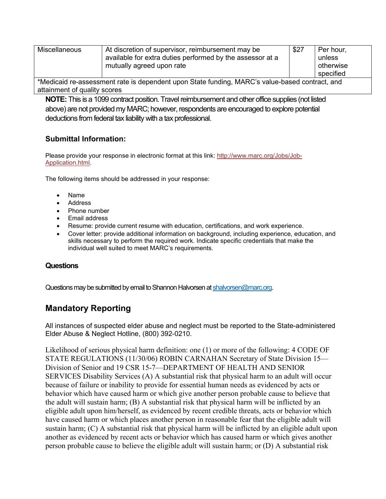| Miscellaneous                                                                                | At discretion of supervisor, reimbursement may be<br>available for extra duties performed by the assessor at a<br>mutually agreed upon rate | \$27 | Per hour,<br>unless<br>otherwise<br>specified |  |
|----------------------------------------------------------------------------------------------|---------------------------------------------------------------------------------------------------------------------------------------------|------|-----------------------------------------------|--|
| Analicaid re-assessment rate is dependent upon State funding MARC's value-based contract and |                                                                                                                                             |      |                                               |  |

\*Medicaid re-assessment rate is dependent upon State funding, MARC's value-based contract, and attainment of quality scores

**NOTE:** This is a 1099 contract position. Travel reimbursement and other office supplies (not listed above) are not provided my MARC; however, respondents are encouraged to explore potential deductions from federal tax liability with a tax professional.

### **Submittal Information:**

Please provide your response in electronic format at this link: [http://www.marc.org/Jobs/Job-](http://www.marc.org/Jobs/Job-Application.html)[Application.html.](http://www.marc.org/Jobs/Job-Application.html)

The following items should be addressed in your response:

- Name
- Address
- Phone number
- Email address
- Resume: provide current resume with education, certifications, and work experience.
- Cover letter: provide additional information on background, including experience, education, and skills necessary to perform the required work. Indicate specific credentials that make the individual well suited to meet MARC's requirements.

#### **Questions**

Questions may be submitted by email to Shannon Halvorsen a[t shalvorsen@marc.org.](mailto:shalvorsen@marc.org)

# **Mandatory Reporting**

All instances of suspected elder abuse and neglect must be reported to the State-administered Elder Abuse & Neglect Hotline, (800) 392-0210.

Likelihood of serious physical harm definition: one (1) or more of the following: 4 CODE OF STATE REGULATIONS (11/30/06) ROBIN CARNAHAN Secretary of State Division 15— Division of Senior and 19 CSR 15-7—DEPARTMENT OF HEALTH AND SENIOR SERVICES Disability Services (A) A substantial risk that physical harm to an adult will occur because of failure or inability to provide for essential human needs as evidenced by acts or behavior which have caused harm or which give another person probable cause to believe that the adult will sustain harm; (B) A substantial risk that physical harm will be inflicted by an eligible adult upon him/herself, as evidenced by recent credible threats, acts or behavior which have caused harm or which places another person in reasonable fear that the eligible adult will sustain harm; (C) A substantial risk that physical harm will be inflicted by an eligible adult upon another as evidenced by recent acts or behavior which has caused harm or which gives another person probable cause to believe the eligible adult will sustain harm; or (D) A substantial risk